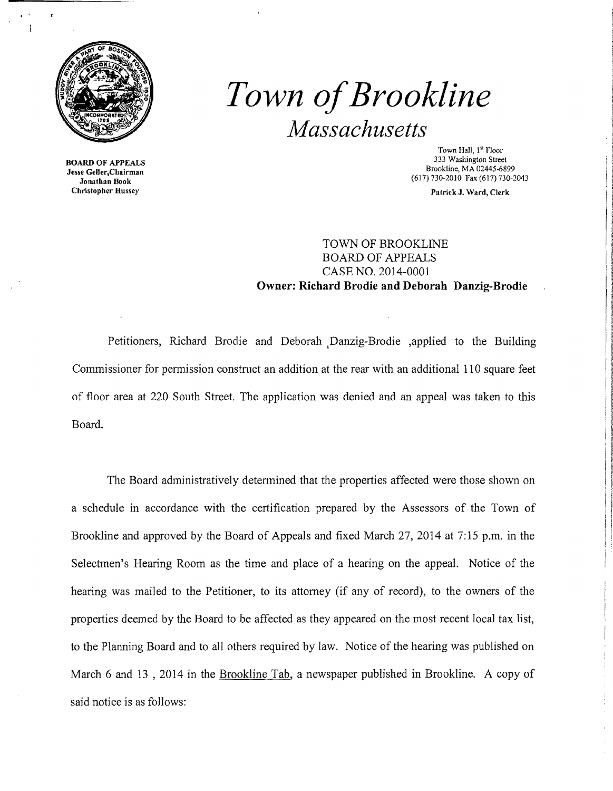

BOARD OF APPEALS Jesse Geller,Chairman Jonathan Book Christopher Hussey

# *Town ofBrookline Massachusetts*

Town Hall, 1<sup>st</sup> Floor 333 Washington Street Brookline, MA 02445-6899 (617) 730-2010 Fax (617) 730-2043

Patrick J. Ward, Clerk

## TOWN OF BROOKLINE BOARD OF APPEALS CASE NO. 2014-0001 **Owner: Richard Brodie and Deborah Danzig-Brodie**

Petitioners, Richard Brodie and Deborah .Danzig-Brodie ,applied to the Building Commissioner for pennission construct an addition at the rear with an additional 110 square feet of floor area at 220 South Street. The application was denied and an appeal was taken to this Board.

The Board administratively detennined that the properties affected were those shown on a schedule in accordance with the certification prepared by the Assessors of the Town of Brookline and approved by the Board of Appeals and fixed March 27,2014 at 7:15 p.m. in the Selectmen's Hearing Room as the time and place of a hearing on the appeal. Notice of the hearing was mailed to the Petitioner, to its attorney (if any of record), to the owners of the properties deemed by the Board to be affected as they appeared on the most recent local tax list, to the Planning Board and to all others required by law. Notice of the hearing was published on March 6 and 13 , 2014 in the Brookline Tab, a newspaper published in Brookline. A copy of said notice is as follows: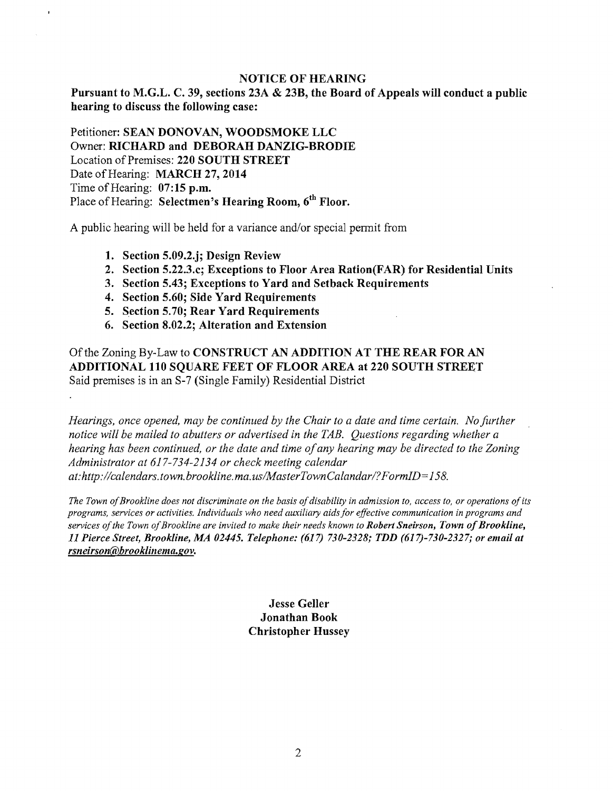## NOTICE OF HEARING

Pursuant to M.G.L. C. 39, sections 23A & 23B, the Board of Appeals will conduct a public hearing to discuss the following case:

Petitioner: SEAN DONOVAN, WOODSMOKE LLC Owner: RICHARD and DEBORAH DANZIG-BRODIE Location of Premises: 220 SOUTH STREET Date of Hearing: MARCH 27, 2014 Time of Hearing:  $07:15$  p.m. Place of Hearing: Selectmen's Hearing Room, 6<sup>th</sup> Floor.

A public hearing will be held for a variance and/or special pennit from

- 1. Section 5.09.2.j; Design Review
- 2. Section 5.22.3.c; Exceptions to Floor Area Ration(FAR) for Residential Units
- 3. Section 5.43; Exceptions to Yard and Setback Requirements
- 4. Section 5.60; Side Yard Requirements
- 5. Section 5.70; Rear Yard Requirements
- 6. Section 8.02.2; Alteration and Extension

Ofthe Zoning By-Law to CONSTRUCT AN ADDITION AT THE REAR FOR AN ADDITIONAL 110 SQUARE FEET OF FLOOR AREA at 220 SOUTH STREET Said premises is in an S-7 (Single Family) Residential District

*Hearings, once opened, may be continued by the Chair to a date and time certain. No further notice will be mailed to abutters or advertised in the TAB. Questions regarding whether a hearing has been continued, or the date and time ofany hearing may be directed to the Zoning Administrator at* 617-734-2134 *or check meeting calendar at: http://calendars.town.brookline.ma.usIMasterTownCalandarl? F ormlD= 158.* 

The Town of Brookline does not discriminate on the basis of disability in admission to, access to, or operations of its *programs, services or activities. Individuals who need aux:iliary aids for effective communication in programs and services ofthe Town ofBrookline are invited to make their needs known to Robert Sneirson, Town ofBrookline, 11 Pierce Street, Brookline, MA 02445. Telephone:* (617) *730-2328; TDD (617)-730-2327; or email at rsneirson@hrooklillema.gov.* 

> Jesse Geller Jonathan Book Christopher Hussey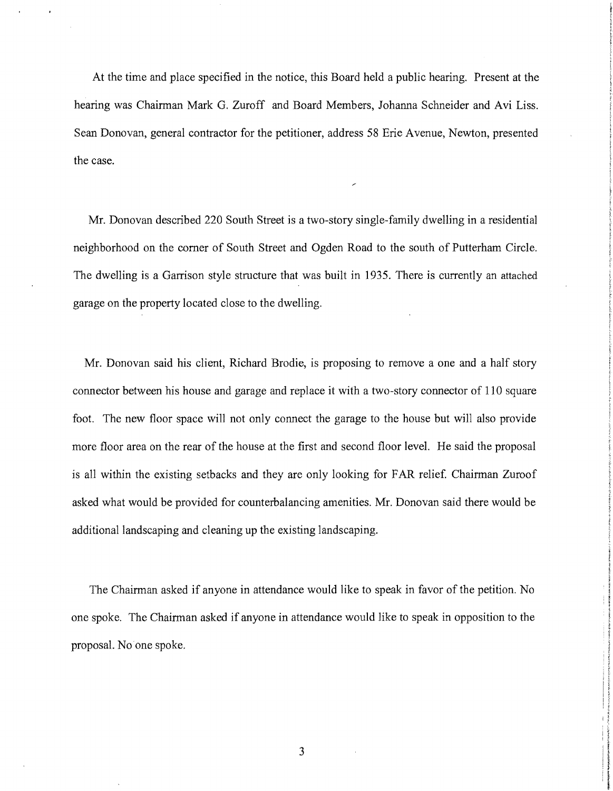At the time and place specified in the notice, this Board held a public hearing. Present at the hearing was Chairman Mark G. Zuroff and Board Members, Johanna Schneider and Avi Liss. Sean Donovan, general contractor for the petitioner, address 58 Erie Avenue, Newton, presented the case.

Mr. Donovan described 220 South Street is a two-story single-family dwelling in a residential neighborhood on the comer of South Street and Ogden Road to the south of Putterham Circle. The dwelling is a Garrison style structure that was built in 1935. There is currently an attached garage on the property located close to the dwelling.

Mr. Donovan said his client, Richard Brodie, is proposing to remove a one and a half story connector between his house and garage and replace it with a two-story connector of 110 square foot. The new floor space will not only connect the garage to the house but will also provide more floor area on the rear of the house at the first and second floor level. He said the proposal is all within the existing setbacks and they are only looking for FAR relief. Chairman Zuroof asked what would be provided for counterbalancing amenities. Mr. Donovan said there would be additional landscaping and cleaning up the existing landscaping.

The Chairman asked if anyone in attendance would like to speak in favor of the petition. No one spoke. The Chairman asked if anyone in attendance would like to speak in opposition to the proposal. No one spoke.

3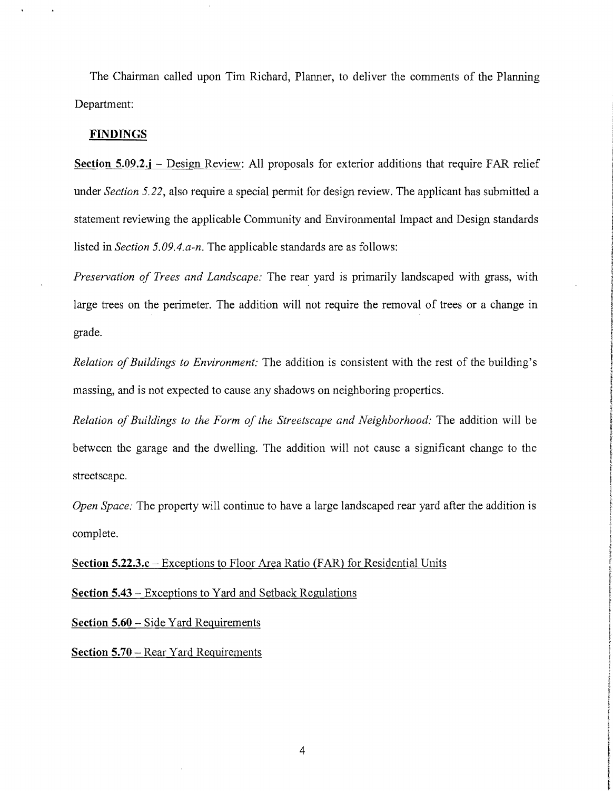The Chairman called upon Tim Richard, Planner, to deliver the comments of the Planning Department:

#### **FINDINGS**

**Section 5.09.2.j** – Design Review: All proposals for exterior additions that require FAR relief under *Section 5.22*, also require a special permit for design review. The applicant has submitted a statement reviewing the applicable Community and Environmental Impact and Design standards listed in *Section 5.09.4.a-n.* The applicable standards are as follows:

*Preservation of Trees and Landscape:* The rear yard is primarily landscaped with grass, with large trees on the perimeter. The addition will not require the removal of trees or a change in grade.

*Relation of Buildings to Environment:* The addition is consistent with the rest of the building's massing, and is not expected to cause any shadows on neighboring properties.

*Relation ofBuildings to the Form of the Streetscape and Neighborhood:* The addition will be between the garage and the dwelling. The addition will not cause a significant change to the streetscape.

*Open Space:* The property will continue to have a large landscaped rear yard after the addition is complete.

**Section 5.22.3.c** – Exceptions to Floor Area Ratio (FAR) for Residential Units

**Section 5.43** - Exceptions to Yard and Setback Regulations

**Section 5.60** - Side Yard Requirements

**Section 5.70** – Rear Yard Requirements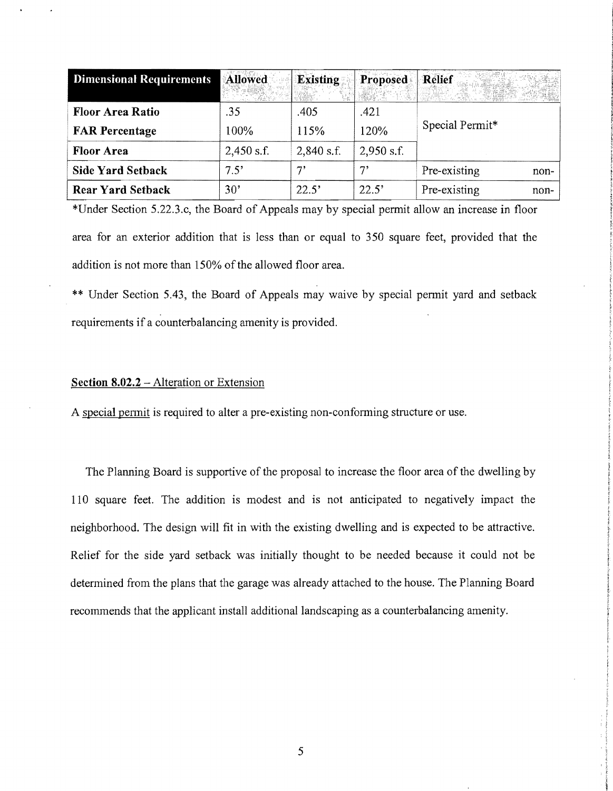| <b>Dimensional Requirements</b> | <b>Allowed</b>  | <b>Existing</b> | Proposed     | Relief               |
|---------------------------------|-----------------|-----------------|--------------|----------------------|
| <b>Floor Area Ratio</b>         | .35             | .405            | .421         |                      |
| <b>FAR Percentage</b>           | 100%            | 115%            | 120%         | Special Permit*      |
| <b>Floor Area</b>               | $2,450$ s.f.    | $2,840$ s.f.    | $2,950$ s.f. |                      |
| <b>Side Yard Setback</b>        | $7.5^\circ$     | י ר             | 71           | Pre-existing<br>non- |
| <b>Rear Yard Setback</b>        | 30 <sup>3</sup> | 22.5'           | 22.5'        | Pre-existing<br>non- |

\*Under Section 5.22.3.c, the Board of Appeals may by special permit allow an increase in floor area for an exterior addition that is less than or equal to 350 square feet, provided that the addition is not more than 150% of the allowed floor area.

\*\* Under Section 5.43, the Board of Appeals may waive by special permit yard and setback requirements if a counterbalancing amenity is provided.

### **Section 8.02.2** - Alteration or Extension

A special permit is required to alter a pre-existing non-conforming structure or use.

The Planning Board is supportive of the proposal to increase the floor area of the dwelling by **110** square feet. The addition is modest and is not anticipated to negatively impact the neighborhood. The design will fit in with the existing dwelling and is expected to be attractive. Relief for the side yard setback was initially thought to be needed because it could not be determined from the plans that the garage was already attached to the house. The Planning Board recommends that the applicant install additional landscaping as a counterbalancing amenity.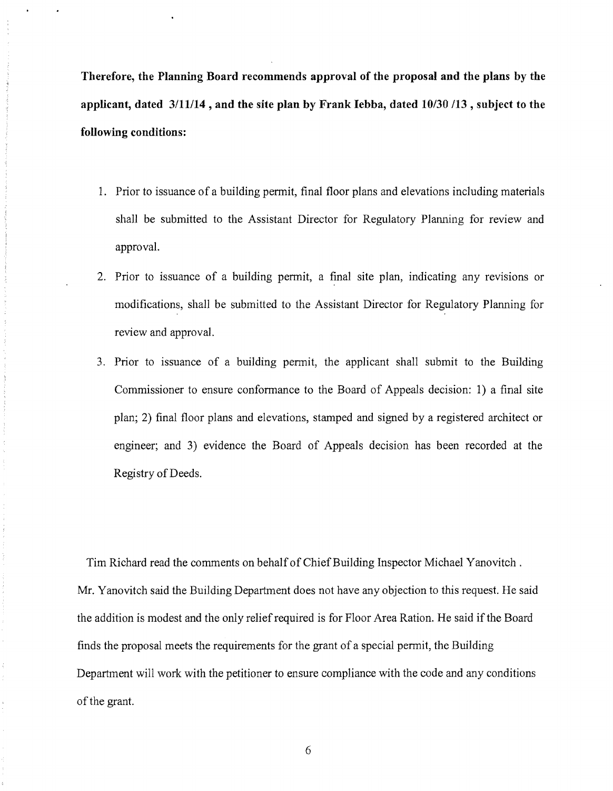**Therefore, the Planning Board recommends approval of the proposal and the plans by the applicant, dated 3/11114, and the site plan by Frank Iebba, dated 10/30/13 , subject to the following conditions:** 

- 1. Prior to issuance of a building pennit, final floor plans and elevations including materials shall be submitted to the Assistant Director for Regulatory Planning for review and approval.
- 2. Prior to issuance of a building permit, a final site plan, indicating any revisions or modifications, shall be submitted to the Assistant Director for Regulatory Planning for review and approval.
- 3. Prior to issuance of a building permit, the applicant shall submit to the Building Commissioner to ensure confonnance to the Board of Appeals decision: 1) a final site plan; 2) final floor plans and elevations, stamped and signed by a registered architect or engineer; and 3) evidence the Board of Appeals decision has been recorded at the Registry of Deeds.

Tim Richard read the comments on behalf of Chief Building Inspector Michael Yanovitch . Mr. Yanovitch said the Building Department does not have any objection to this request. He said the addition is modest and the only relief required is for Floor Area Ration. He said if the Board finds the proposal meets the requirements for the grant of a special permit, the Building Department will work with the petitioner to ensure compliance with the code and any conditions of the grant.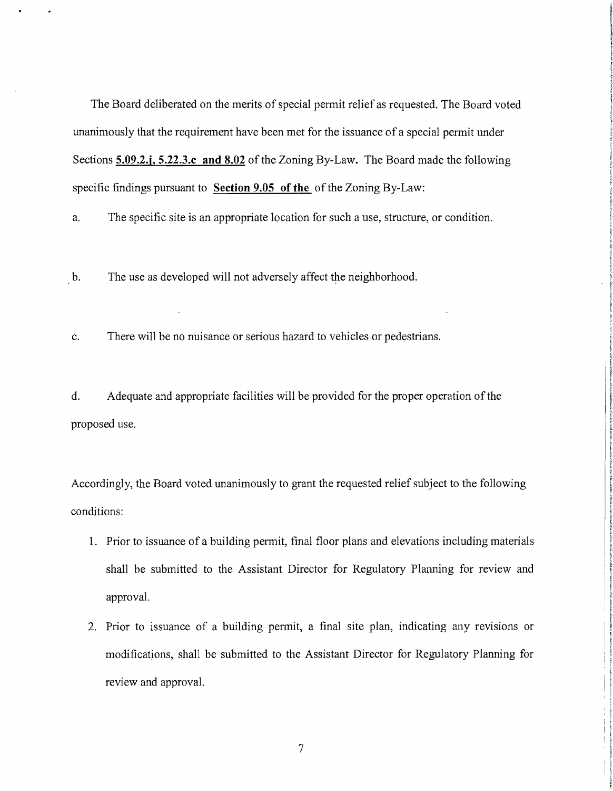The Board deliberated on the merits of special permit relief as requested. The Board voted unanimously that the requirement have been met for the issuance of a special permit under Sections **5.09.2.j, 5.22.3.c and 8.02** of the Zoning By-Law. The Board made the following specific findings pursuant to **Section 9.05 of the of the Zoning By-Law:** 

a. The specific site is an appropriate location for such a use, structure, or condition.

b. The use as developed will not adversely affect the neighborhood.

c. There will be no nuisance or serious hazard to vehicles or pedestrians.

d. Adequate and appropriate facilities will be provided for the proper operation of the proposed use.

Accordingly, the Board voted unanimously to grant the requested relief subject to the following conditions:

- 1. Prior to issuance of a building permit, final floor plans and elevations including materials shall be submitted to the Assistant Director for Regulatory Planning for review and approval.
- 2. Prior to issuance of a building permit, a final site plan, indicating any revisions or modifications, shall be submitted to the Assistant Director for Regulatory Planning for review and approval.

7